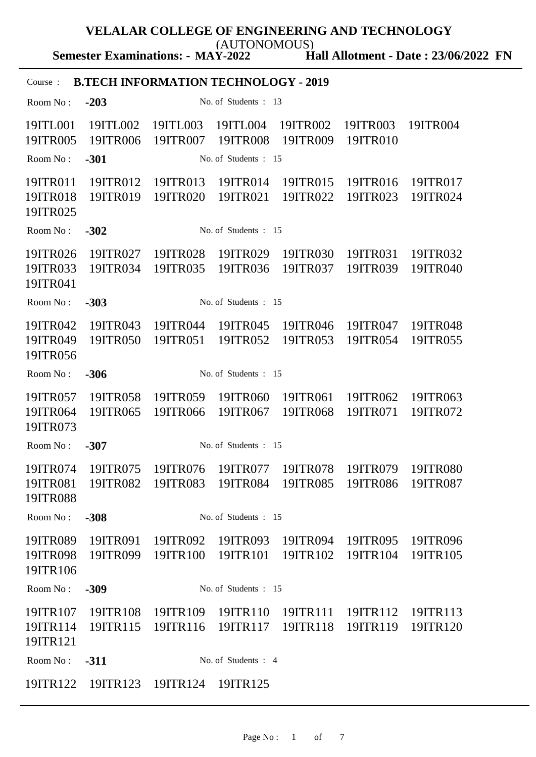**Semester Examinations: - MAY-2022** (AUTONOMOUS)

**Hall Allotment - Date : 23/06/2022 FN**

| <b>B.TECH INFORMATION TECHNOLOGY - 2019</b><br>Course: |                                                                   |                                        |                      |                      |                      |                      |  |  |
|--------------------------------------------------------|-------------------------------------------------------------------|----------------------------------------|----------------------|----------------------|----------------------|----------------------|--|--|
| Room No:                                               | $-203$                                                            |                                        | No. of Students: 13  |                      |                      |                      |  |  |
| 19ITL001<br>19ITR005                                   | 19ITL002<br>19ITR006                                              | 19ITL003<br>19ITR007                   | 19ITL004<br>19ITR008 | 19ITR002<br>19ITR009 | 19ITR003<br>19ITR010 | 19ITR004             |  |  |
| Room No:                                               | $-301$<br>No. of Students: 15                                     |                                        |                      |                      |                      |                      |  |  |
| 19ITR011<br>19ITR018<br>19ITR025                       | 19ITR012<br>19ITR019                                              | 19ITR013<br>19ITR020                   | 19ITR014<br>19ITR021 | 19ITR015<br>19ITR022 | 19ITR016<br>19ITR023 | 19ITR017<br>19ITR024 |  |  |
| Room No:                                               | $-302$<br>No. of Students: 15                                     |                                        |                      |                      |                      |                      |  |  |
| 19ITR026<br>19ITR033<br>19ITR041                       | 19ITR027<br>19ITR034                                              | 19ITR028<br>19ITR035                   | 19ITR029<br>19ITR036 | 19ITR030<br>19ITR037 | 19ITR031<br>19ITR039 | 19ITR032<br>19ITR040 |  |  |
| Room No:                                               | $-303$                                                            |                                        | No. of Students: 15  |                      |                      |                      |  |  |
| 19ITR042<br>19ITR049<br>19ITR056                       | 19ITR043<br>19ITR050                                              | 19ITR044<br>19ITR051                   | 19ITR045<br>19ITR052 | 19ITR046<br>19ITR053 | 19ITR047<br>19ITR054 | 19ITR048<br>19ITR055 |  |  |
| Room No:                                               | $-306$                                                            |                                        | No. of Students: 15  |                      |                      |                      |  |  |
| 19ITR057<br>19ITR064<br>19ITR073                       | 19ITR058<br>19ITR065                                              | 19ITR059<br>19ITR066                   | 19ITR060<br>19ITR067 | 19ITR061<br>19ITR068 | 19ITR062<br>19ITR071 | 19ITR063<br>19ITR072 |  |  |
| Room No:                                               | $-307$                                                            |                                        | No. of Students: 15  |                      |                      |                      |  |  |
| 19ITR074<br>19ITR081<br>19ITR088                       | 19ITR075<br>19ITR082 19ITR083 19ITR084 19ITR085 19ITR086 19ITR087 | 19ITR076                               | 19ITR077             | 19ITR078             | 19ITR079             | 19ITR080             |  |  |
| Room No:                                               | $-308$                                                            |                                        | No. of Students: 15  |                      |                      |                      |  |  |
| 19ITR089<br>19ITR098<br>19ITR106                       | 19ITR091                                                          | 19ITR092<br>19ITR099 19ITR100 19ITR101 | 19ITR093             | 19ITR094<br>19ITR102 | 19ITR095<br>19ITR104 | 19ITR096<br>19ITR105 |  |  |
| Room No:                                               | $-309$                                                            |                                        | No. of Students: 15  |                      |                      |                      |  |  |
| 19ITR107<br>19ITR114<br>19ITR121                       | 19ITR108<br>19ITR115                                              | 19ITR109<br>19ITR116                   | 19ITR110<br>19ITR117 | 19ITR111<br>19ITR118 | 19ITR112<br>19ITR119 | 19ITR113<br>19ITR120 |  |  |
| Room No:                                               | $-311$                                                            |                                        | No. of Students: 4   |                      |                      |                      |  |  |
| 19ITR122                                               | 19ITR123                                                          | 19ITR124                               | 19ITR125             |                      |                      |                      |  |  |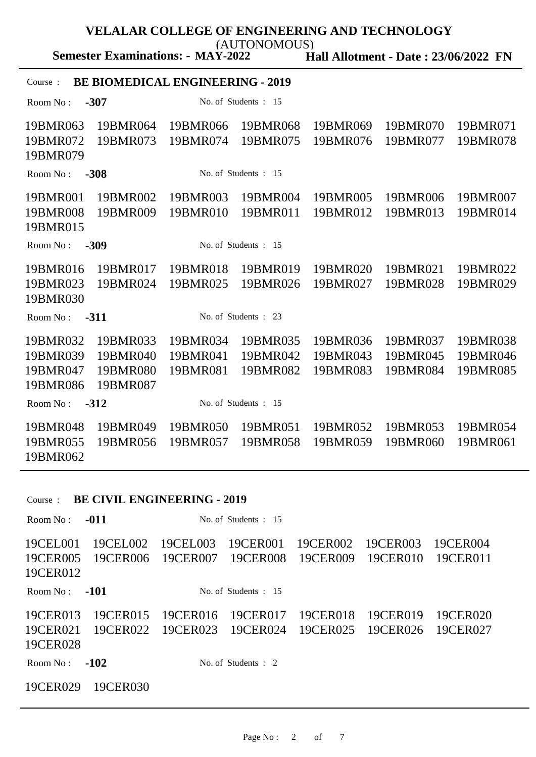(AUTONOMOUS)

**Semester Examinations: - MAY-2022**

**Hall Allotment - Date : 23/06/2022 FN**

## Course : **BE BIOMEDICAL ENGINEERING - 2019**

Room No : **-307** No. of Students : 15 19BMR063 19BMR064 19BMR066 19BMR068 19BMR069 19BMR070 19BMR071 19BMR072 19BMR073 19BMR074 19BMR075 19BMR076 19BMR077 19BMR078 19BMR079 Room No : **-308** No. of Students : 15 19BMR001 19BMR002 19BMR003 19BMR004 19BMR005 19BMR006 19BMR007 19BMR008 19BMR009 19BMR010 19BMR011 19BMR012 19BMR013 19BMR014 19BMR015 Room No : **-309** No. of Students : 15 19BMR016 19BMR017 19BMR018 19BMR019 19BMR020 19BMR021 19BMR022 19BMR023 19BMR024 19BMR025 19BMR026 19BMR027 19BMR028 19BMR029 19BMR030 Room No : **-311** No. of Students : 23 19BMR032 19BMR033 19BMR034 19BMR035 19BMR036 19BMR037 19BMR038 19BMR039 19BMR040 19BMR041 19BMR042 19BMR043 19BMR045 19BMR046 19BMR047 19BMR080 19BMR081 19BMR082 19BMR083 19BMR084 19BMR085 19BMR086 19BMR087 Room No : **-312** No. of Students : 15 19BMR048 19BMR049 19BMR050 19BMR051 19BMR052 19BMR053 19BMR054 19BMR055 19BMR056 19BMR057 19BMR058 19BMR059 19BMR060 19BMR061 19BMR062

### Course : **BE CIVIL ENGINEERING - 2019**

| Room $No:$                       | $-011$               | No. of Students $: 15$ |                        |                      |                      |                      |
|----------------------------------|----------------------|------------------------|------------------------|----------------------|----------------------|----------------------|
| 19CEL001<br>19CER005<br>19CER012 | 19CEL002<br>19CER006 | 19CEL003<br>19CER007   | 19CER001<br>19CER008   | 19CER002<br>19CER009 | 19CER003<br>19CER010 | 19CER004<br>19CER011 |
| Room No:                         | $-101$               |                        | No. of Students $: 15$ |                      |                      |                      |
| 19CER013<br>19CER021<br>19CER028 | 19CER015<br>19CER022 | 19CER016<br>19CER023   | 19CER017<br>19CER024   | 19CER018<br>19CER025 | 19CER019<br>19CER026 | 19CER020<br>19CER027 |
| Room $No:$                       | $-102$               |                        | No. of Students $: 2$  |                      |                      |                      |
| 19CER029                         | 19CER030             |                        |                        |                      |                      |                      |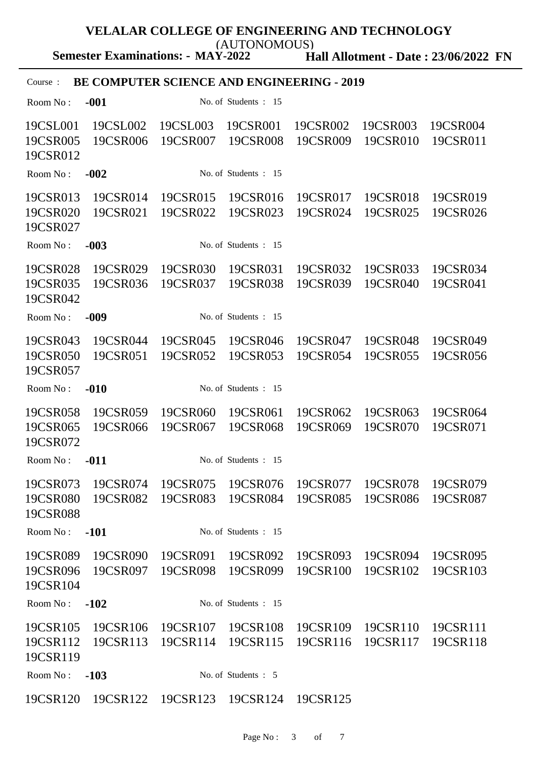(AUTONOMOUS)

**Semester Examinations: - MAY-2022**

**Hall Allotment - Date : 23/06/2022 FN**

# Course : **BE COMPUTER SCIENCE AND ENGINEERING - 2019** Room No : **-001** No. of Students : 15 19CSL001 19CSL002 19CSL003 19CSR001 19CSR002 19CSR003 19CSR004 19CSR005 19CSR006 19CSR007 19CSR008 19CSR009 19CSR010 19CSR011

19CSR012 Room No : **-002** No. of Students : 15 19CSR013 19CSR014 19CSR015 19CSR016 19CSR017 19CSR018 19CSR019 19CSR020 19CSR021 19CSR022 19CSR023 19CSR024 19CSR025 19CSR026 19CSR027 Room No : **-003** No. of Students : 15 19CSR028 19CSR029 19CSR030 19CSR031 19CSR032 19CSR033 19CSR034 19CSR035 19CSR036 19CSR037 19CSR038 19CSR039 19CSR040 19CSR041 19CSR042 Room No : **-009** No. of Students : 15 19CSR043 19CSR044 19CSR045 19CSR046 19CSR047 19CSR048 19CSR049 19CSR050 19CSR051 19CSR052 19CSR053 19CSR054 19CSR055 19CSR056 19CSR057 Room No : **-010** No. of Students : 15 19CSR058 19CSR059 19CSR060 19CSR061 19CSR062 19CSR063 19CSR064 19CSR065 19CSR066 19CSR067 19CSR068 19CSR069 19CSR070 19CSR071 19CSR072 Room No : **-011** No. of Students : 15 19CSR073 19CSR074 19CSR075 19CSR076 19CSR077 19CSR078 19CSR079

19CSR080 19CSR082 19CSR083 19CSR084 19CSR085 19CSR086 19CSR087 19CSR088 Room No : **-101** No. of Students : 15 19CSR089 19CSR090 19CSR091 19CSR092 19CSR093 19CSR094 19CSR095 19CSR096 19CSR097 19CSR098 19CSR099 19CSR100 19CSR102 19CSR103 19CSR104 Room No : **-102** No. of Students : 15 19CSR105 19CSR106 19CSR107 19CSR108 19CSR109 19CSR110 19CSR111 19CSR112 19CSR113 19CSR114 19CSR115 19CSR116 19CSR117 19CSR118 19CSR119 Room No : **-103** No. of Students : 5

19CSR120 19CSR122 19CSR123 19CSR124 19CSR125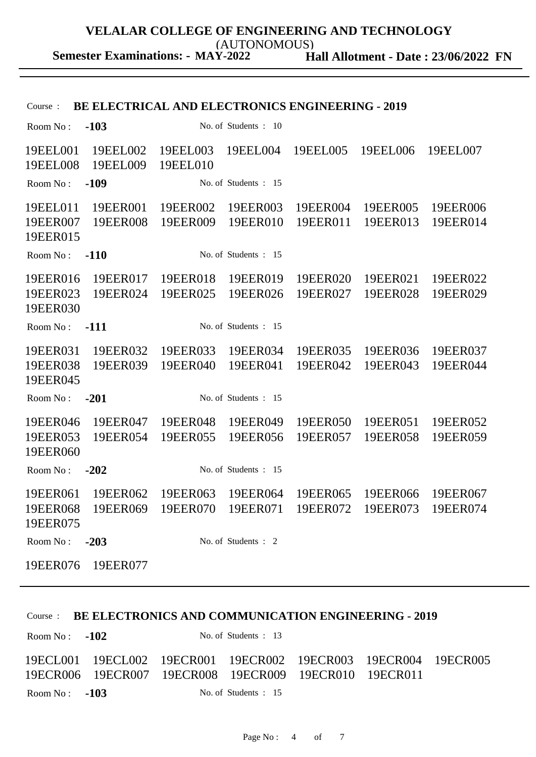(AUTONOMOUS)

**Hall Allotment - Date : 23/06/2022 FN Semester Examinations: - MAY-2022**

| <b>BE ELECTRICAL AND ELECTRONICS ENGINEERING - 2019</b><br>Course: |                                                                                  |                      |                      |                      |                      |                      |
|--------------------------------------------------------------------|----------------------------------------------------------------------------------|----------------------|----------------------|----------------------|----------------------|----------------------|
| Room No:                                                           | $-103$                                                                           |                      | No. of Students: 10  |                      |                      |                      |
| 19EEL001<br>19EEL008                                               | 19EEL002<br>19EEL009                                                             | 19EEL003<br>19EEL010 | 19EEL004             | 19EEL005             | 19EEL006             | 19EEL007             |
| Room No:                                                           | $-109$                                                                           |                      | No. of Students: 15  |                      |                      |                      |
| 19EEL011<br>19EER007<br>19EER015                                   | 19EER001<br>19EER008                                                             | 19EER002<br>19EER009 | 19EER003<br>19EER010 | 19EER004<br>19EER011 | 19EER005<br>19EER013 | 19EER006<br>19EER014 |
| Room No:                                                           | $-110$                                                                           |                      | No. of Students: 15  |                      |                      |                      |
| 19EER016<br>19EER023<br>19EER030                                   | 19EER017<br>19EER024                                                             | 19EER018<br>19EER025 | 19EER019<br>19EER026 | 19EER020<br>19EER027 | 19EER021<br>19EER028 | 19EER022<br>19EER029 |
| Room No:                                                           | $-111$                                                                           |                      | No. of Students: 15  |                      |                      |                      |
| 19EER031<br>19EER038<br>19EER045                                   | 19EER032<br>19EER039                                                             | 19EER033<br>19EER040 | 19EER034<br>19EER041 | 19EER035<br>19EER042 | 19EER036<br>19EER043 | 19EER037<br>19EER044 |
| Room No:                                                           | $-201$                                                                           |                      | No. of Students : 15 |                      |                      |                      |
| 19EER046<br>19EER053<br>19EER060                                   | 19EER047<br>19EER054                                                             | 19EER048<br>19EER055 | 19EER049<br>19EER056 | 19EER050<br>19EER057 | 19EER051<br>19EER058 | 19EER052<br>19EER059 |
| Room No:                                                           | $-202$                                                                           |                      | No. of Students: 15  |                      |                      |                      |
| 19EER061<br>19EER075                                               | 19EER062<br>19EER068  19EER069  19EER070  19EER071  19EER072  19EER073  19EER074 | 19EER063             | 19EER064             | 19EER065             | 19EER066             | 19EER067             |
| Room No:                                                           | $-203$                                                                           |                      | No. of Students: 2   |                      |                      |                      |
| 19EER076                                                           | 19EER077                                                                         |                      |                      |                      |                      |                      |

## Course : **BE ELECTRONICS AND COMMUNICATION ENGINEERING - 2019**

| Room No: $-102$                                                                                                                    | No. of Students : 13   |  |  |
|------------------------------------------------------------------------------------------------------------------------------------|------------------------|--|--|
| 19ECL001  19ECL002  19ECR001  19ECR002  19ECR003  19ECR004  19ECR005<br>19ECR006  19ECR007  19ECR008  19ECR009  19ECR010  19ECR011 |                        |  |  |
| Room No: $-103$                                                                                                                    | No. of Students $: 15$ |  |  |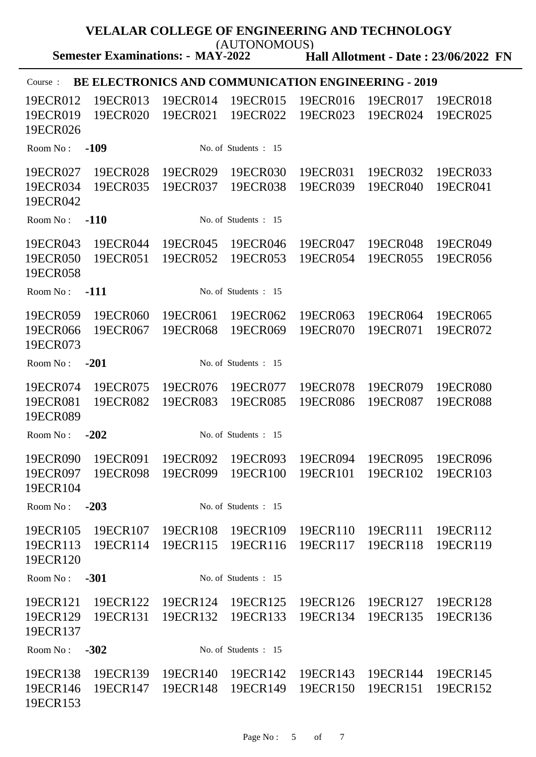| VELALAR COLLEGE OF ENGINEERING AND TECHNOLOGY<br>(AUTONOMOUS)         |                      |                                             |                      |                      |                      |  |  |  |
|-----------------------------------------------------------------------|----------------------|---------------------------------------------|----------------------|----------------------|----------------------|--|--|--|
| <b>Semester Examinations: - MAY-2022</b>                              |                      | <b>Hall Allotment - Date: 23/06/2022 FN</b> |                      |                      |                      |  |  |  |
| <b>BE ELECTRONICS AND COMMUNICATION ENGINEERING - 2019</b><br>Course: |                      |                                             |                      |                      |                      |  |  |  |
| 19ECR012<br>19ECR013<br>19ECR019<br>19ECR020<br>19ECR026              | 19ECR014<br>19ECR021 | 19ECR015<br>19ECR022                        | 19ECR016<br>19ECR023 | 19ECR017<br>19ECR024 | 19ECR018<br>19ECR025 |  |  |  |
| $-109$<br>Room No:                                                    |                      | No. of Students : 15                        |                      |                      |                      |  |  |  |
| 19ECR027<br>19ECR028<br>19ECR034<br>19ECR035<br>19ECR042              | 19ECR029<br>19ECR037 | 19ECR030<br>19ECR038                        | 19ECR031<br>19ECR039 | 19ECR032<br>19ECR040 | 19ECR033<br>19ECR041 |  |  |  |
| $-110$<br>Room No:                                                    |                      | No. of Students : 15                        |                      |                      |                      |  |  |  |
| 19ECR043<br>19ECR044<br>19ECR050<br>19ECR051<br>19ECR058              | 19ECR045<br>19ECR052 | 19ECR046<br>19ECR053                        | 19ECR047<br>19ECR054 | 19ECR048<br>19ECR055 | 19ECR049<br>19ECR056 |  |  |  |
| $-111$<br>Room No:                                                    |                      | No. of Students : 15                        |                      |                      |                      |  |  |  |
| 19ECR059<br>19ECR060<br>19ECR066<br>19ECR067<br>19ECR073              | 19ECR061<br>19ECR068 | 19ECR062<br>19ECR069                        | 19ECR063<br>19ECR070 | 19ECR064<br>19ECR071 | 19ECR065<br>19ECR072 |  |  |  |
| $-201$<br>Room No:                                                    |                      | No. of Students : 15                        |                      |                      |                      |  |  |  |
| 19ECR074<br>19ECR075<br>19ECR081<br>19ECR082<br>19ECR089              | 19ECR076<br>19ECR083 | 19ECR077<br>19ECR085                        | 19ECR078<br>19ECR086 | 19ECR079<br>19ECR087 | 19ECR080<br>19ECR088 |  |  |  |
| $-202$<br>Room No:                                                    |                      | No. of Students: 15                         |                      |                      |                      |  |  |  |
| 19ECR091<br>19ECR090<br>19ECR097<br>19ECR098<br>19ECR104              | 19ECR092<br>19ECR099 | 19ECR093<br>19ECR100                        | 19ECR094<br>19ECR101 | 19ECR095<br>19ECR102 | 19ECR096<br>19ECR103 |  |  |  |
| $-203$<br>Room No:                                                    |                      | No. of Students : 15                        |                      |                      |                      |  |  |  |
| 19ECR105<br>19ECR107<br>19ECR113<br>19ECR114<br>19ECR120              | 19ECR108<br>19ECR115 | 19ECR109<br>19ECR116                        | 19ECR110<br>19ECR117 | 19ECR111<br>19ECR118 | 19ECR112<br>19ECR119 |  |  |  |
| Room No:<br>$-301$                                                    |                      | No. of Students: 15                         |                      |                      |                      |  |  |  |
| 19ECR121<br>19ECR122<br>19ECR129<br>19ECR131<br>19ECR137              | 19ECR124<br>19ECR132 | 19ECR125<br>19ECR133                        | 19ECR126<br>19ECR134 | 19ECR127<br>19ECR135 | 19ECR128<br>19ECR136 |  |  |  |
| $-302$<br>Room No:                                                    |                      | No. of Students: 15                         |                      |                      |                      |  |  |  |
| 19ECR138<br>19ECR139<br>19ECR146<br>19ECR147<br>19ECR153              | 19ECR140<br>19ECR148 | 19ECR142<br>19ECR149                        | 19ECR143<br>19ECR150 | 19ECR144<br>19ECR151 | 19ECR145<br>19ECR152 |  |  |  |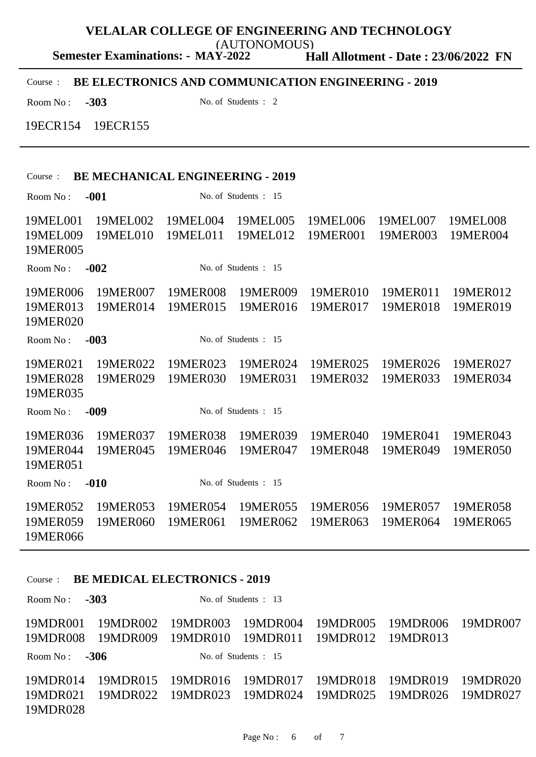**Semester Examinations: - MAY-2022** (AUTONOMOUS)

**Hall Allotment - Date : 23/06/2022 FN**

Course : **BE ELECTRONICS AND COMMUNICATION ENGINEERING - 2019**

Room No : **-303** No. of Students : 2

19ECR154 19ECR155

### Course : **BE MECHANICAL ENGINEERING - 2019**

Room No : **-001** No. of Students : 15 19MEL001 19MEL002 19MEL004 19MEL005 19MEL006 19MEL007 19MEL008 19MEL009 19MEL010 19MEL011 19MEL012 19MER001 19MER003 19MER004 19MER005 Room No : **-002** No. of Students : 15 19MER006 19MER007 19MER008 19MER009 19MER010 19MER011 19MER012 19MER013 19MER014 19MER015 19MER016 19MER017 19MER018 19MER019 19MER020 Room No : **-003** No. of Students : 15 19MER021 19MER022 19MER023 19MER024 19MER025 19MER026 19MER027 19MER028 19MER029 19MER030 19MER031 19MER032 19MER033 19MER034 19MER035 Room No : **-009** No. of Students : 15 19MER036 19MER037 19MER038 19MER039 19MER040 19MER041 19MER043 19MER044 19MER045 19MER046 19MER047 19MER048 19MER049 19MER050 19MER051 Room No : **-010** No. of Students : 15 19MER052 19MER053 19MER054 19MER055 19MER056 19MER057 19MER058 19MER059 19MER060 19MER061 19MER062 19MER063 19MER064 19MER065 19MER066

#### Course : **BE MEDICAL ELECTRONICS - 2019**

Room No : **-303** No. of Students : 13 19MDR001 19MDR002 19MDR003 19MDR004 19MDR005 19MDR006 19MDR007 19MDR008 19MDR009 19MDR010 19MDR011 19MDR012 19MDR013 Room No : **-306** No. of Students : 15 19MDR014 19MDR015 19MDR016 19MDR017 19MDR018 19MDR019 19MDR020 19MDR021 19MDR022 19MDR023 19MDR024 19MDR025 19MDR026 19MDR027 19MDR028